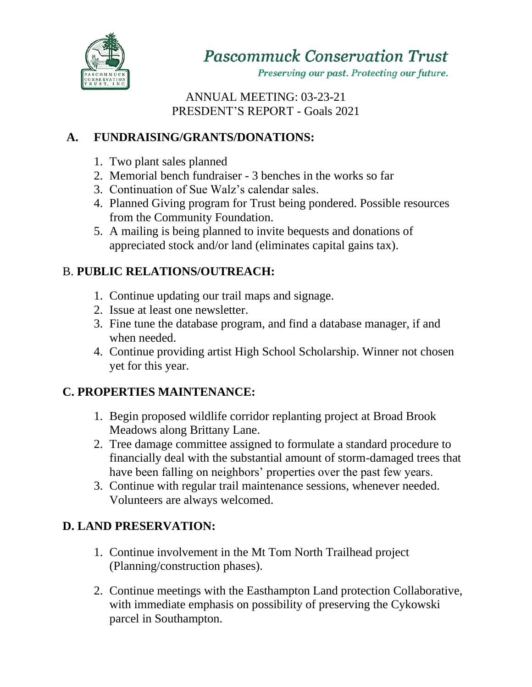

**Pascommuck Conservation Trust** 

Preserving our past. Protecting our future.

ANNUAL MEETING: 03-23-21 PRESDENT'S REPORT - Goals 2021

# **A. FUNDRAISING/GRANTS/DONATIONS:**

- 1. Two plant sales planned
- 2. Memorial bench fundraiser 3 benches in the works so far
- 3. Continuation of Sue Walz's calendar sales.
- 4. Planned Giving program for Trust being pondered. Possible resources from the Community Foundation.
- 5. A mailing is being planned to invite bequests and donations of appreciated stock and/or land (eliminates capital gains tax).

## B. **PUBLIC RELATIONS/OUTREACH:**

- 1. Continue updating our trail maps and signage.
- 2. Issue at least one newsletter.
- 3. Fine tune the database program, and find a database manager, if and when needed.
- 4. Continue providing artist High School Scholarship. Winner not chosen yet for this year.

## **C. PROPERTIES MAINTENANCE:**

- 1. Begin proposed wildlife corridor replanting project at Broad Brook Meadows along Brittany Lane.
- 2. Tree damage committee assigned to formulate a standard procedure to financially deal with the substantial amount of storm-damaged trees that have been falling on neighbors' properties over the past few years.
- 3. Continue with regular trail maintenance sessions, whenever needed. Volunteers are always welcomed.

## **D. LAND PRESERVATION:**

- 1. Continue involvement in the Mt Tom North Trailhead project (Planning/construction phases).
- 2. Continue meetings with the Easthampton Land protection Collaborative, with immediate emphasis on possibility of preserving the Cykowski parcel in Southampton.